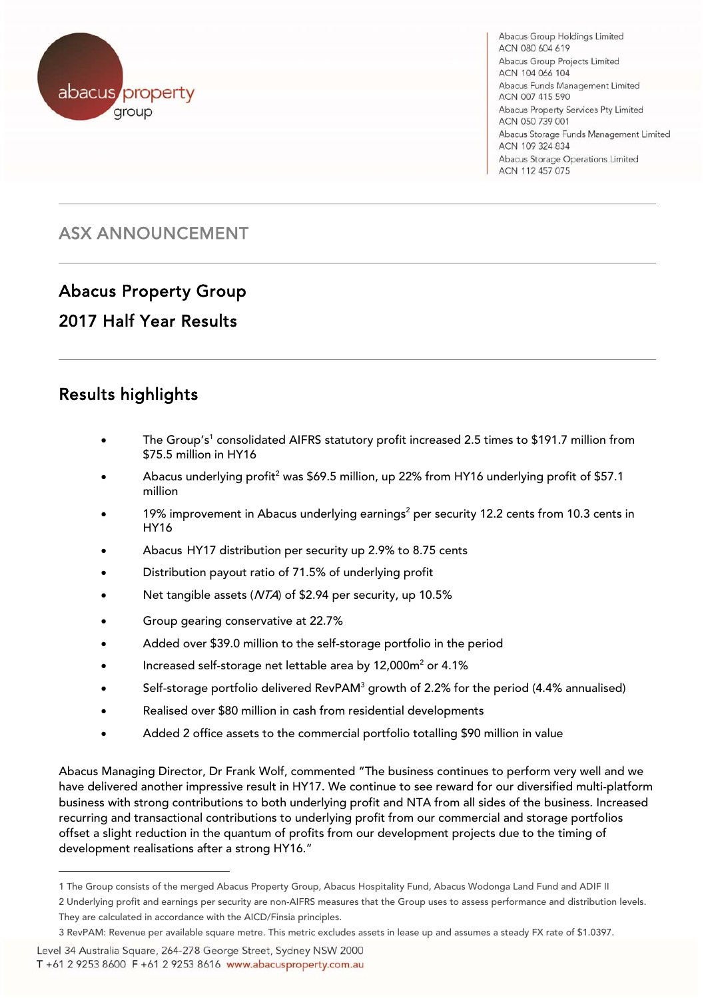

Abacus Group Holdings Limited ACN 080 604 619 Abacus Group Projects Limited ACN 104 066 104 Abacus Funds Management Limited ACN 007 415 590 Abacus Property Services Pty Limited ACN 050 739 001 Abacus Storage Funds Management Limited ACN 109 324 834 Abacus Storage Operations Limited ACN 112 457 075

# ASX ANNOUNCEMENT

# Abacus Property Group

# 2017 Half Year Results

#### $\overline{a}$ Results highlights

- The Group's<sup>1</sup> consolidated AIFRS statutory profit increased 2.5 times to \$191.7 million from \$75.5 million in HY16
- Abacus underlying profit<sup>2</sup> was \$69.5 million, up 22% from HY16 underlying profit of \$57.1 million
- $\bullet$  19% improvement in Abacus underlying earnings<sup>2</sup> per security 12.2 cents from 10.3 cents in HY16
- Abacus HY17 distribution per security up 2.9% to 8.75 cents
- Distribution payout ratio of 71.5% of underlying profit
- Net tangible assets (NTA) of \$2.94 per security, up 10.5%
- **Group gearing conservative at 22.7%**
- Added over \$39.0 million to the self-storage portfolio in the period
- Increased self-storage net lettable area by  $12,000\,\mathrm{m}^2$  or  $4.1\%$
- $\bullet$  Self-storage portfolio delivered RevPAM<sup>3</sup> growth of 2.2% for the period (4.4% annualised)
- Realised over \$80 million in cash from residential developments
- Added 2 office assets to the commercial portfolio totalling \$90 million in value

Abacus Managing Director, Dr Frank Wolf, commented "The business continues to perform very well and we have delivered another impressive result in HY17. We continue to see reward for our diversified multi-platform business with strong contributions to both underlying profit and NTA from all sides of the business. Increased recurring and transactional contributions to underlying profit from our commercial and storage portfolios offset a slight reduction in the quantum of profits from our development projects due to the timing of development realisations after a strong HY16."

2 Underlying profit and earnings per security are non-AIFRS measures that the Group uses to assess performance and distribution levels. They are calculated in accordance with the AICD/Finsia principles.

Level 34 Australia Square, 264-278 George Street, Sydney NSW 2000

T +61 2 9253 8600 F +61 2 9253 8616 www.abacusproperty.com.au

l

<sup>1</sup> The Group consists of the merged Abacus Property Group, Abacus Hospitality Fund, Abacus Wodonga Land Fund and ADIF II

<sup>3</sup> RevPAM: Revenue per available square metre. This metric excludes assets in lease up and assumes a steady FX rate of \$1.0397.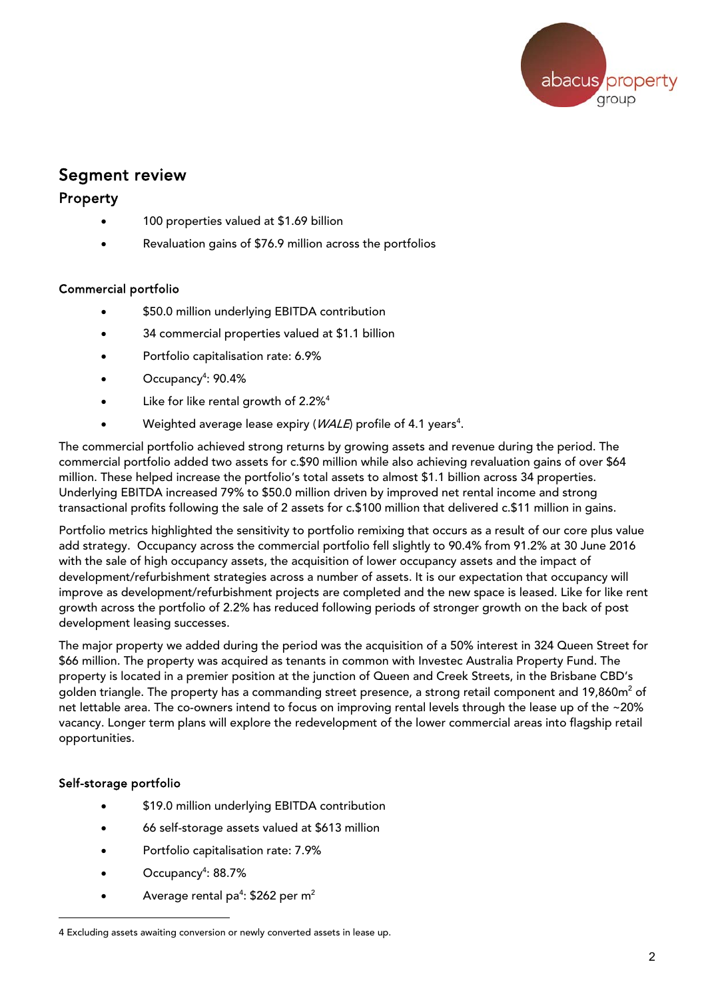

### Segment review

#### Property

- 100 properties valued at \$1.69 billion
- Revaluation gains of \$76.9 million across the portfolios

#### Commercial portfolio

- \$50.0 million underlying EBITDA contribution
- 34 commercial properties valued at \$1.1 billion
- Portfolio capitalisation rate: 6.9%
- Occupancy<sup>4</sup>: 90.4%
- Like for like rental growth of 2.2%<sup>4</sup>
- Weighted average lease expiry ( $WALE$ ) profile of 4.1 years<sup>4</sup>.

The commercial portfolio achieved strong returns by growing assets and revenue during the period. The commercial portfolio added two assets for c.\$90 million while also achieving revaluation gains of over \$64 million. These helped increase the portfolio's total assets to almost \$1.1 billion across 34 properties. Underlying EBITDA increased 79% to \$50.0 million driven by improved net rental income and strong transactional profits following the sale of 2 assets for c.\$100 million that delivered c.\$11 million in gains.

Portfolio metrics highlighted the sensitivity to portfolio remixing that occurs as a result of our core plus value add strategy. Occupancy across the commercial portfolio fell slightly to 90.4% from 91.2% at 30 June 2016 with the sale of high occupancy assets, the acquisition of lower occupancy assets and the impact of development/refurbishment strategies across a number of assets. It is our expectation that occupancy will improve as development/refurbishment projects are completed and the new space is leased. Like for like rent growth across the portfolio of 2.2% has reduced following periods of stronger growth on the back of post development leasing successes.

The major property we added during the period was the acquisition of a 50% interest in 324 Queen Street for \$66 million. The property was acquired as tenants in common with Investec Australia Property Fund. The property is located in a premier position at the junction of Queen and Creek Streets, in the Brisbane CBD's golden triangle. The property has a commanding street presence, a strong retail component and 19,860m $^{\rm 2}$  of net lettable area. The co-owners intend to focus on improving rental levels through the lease up of the ~20% vacancy. Longer term plans will explore the redevelopment of the lower commercial areas into flagship retail opportunities.

#### Self-storage portfolio

l

- \$19.0 million underlying EBITDA contribution
- 66 self-storage assets valued at \$613 million
- Portfolio capitalisation rate: 7.9%
- Occupancy<sup>4</sup>: 88.7%
- Average rental pa<sup>4</sup>: \$262 per m<sup>2</sup>

<sup>4</sup> Excluding assets awaiting conversion or newly converted assets in lease up.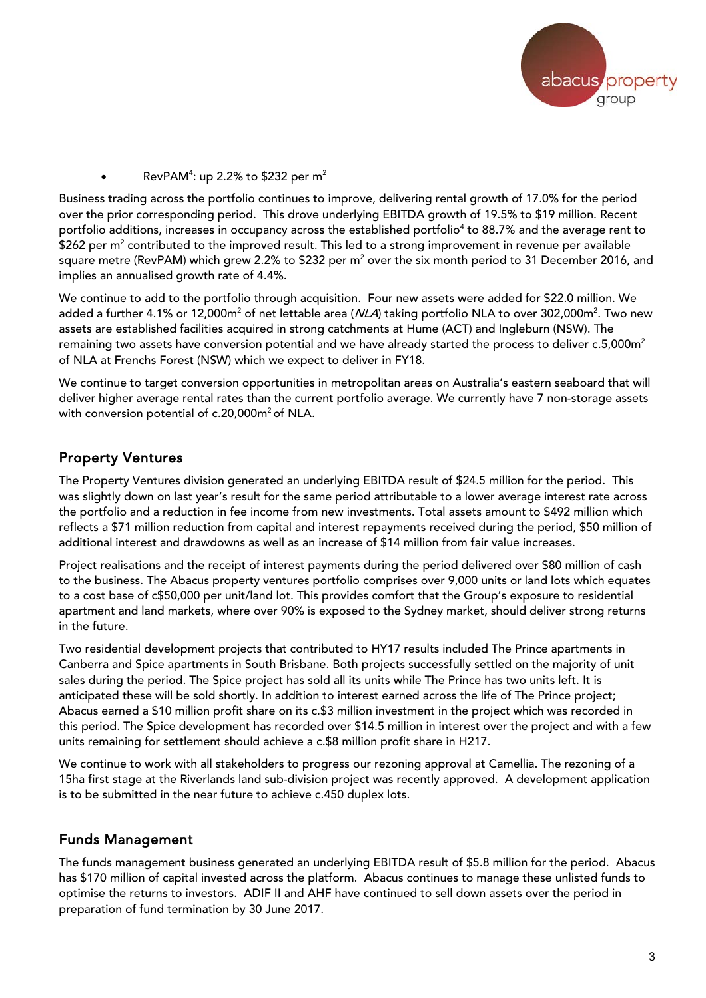

• RevPAM<sup>4</sup>: up 2.2% to \$232 per m<sup>2</sup>

Business trading across the portfolio continues to improve, delivering rental growth of 17.0% for the period over the prior corresponding period. This drove underlying EBITDA growth of 19.5% to \$19 million. Recent portfolio additions, increases in occupancy across the established portfolio<sup>4</sup> to 88.7% and the average rent to  $$262$  per m $^2$  contributed to the improved result. This led to a strong improvement in revenue per available square metre (RevPAM) which grew 2.2% to \$232 per m $^{\rm 2}$  over the six month period to 31 December 2016, and implies an annualised growth rate of 4.4%.

We continue to add to the portfolio through acquisition. Four new assets were added for \$22.0 million. We added a further 4.1% or 12,000m<sup>2</sup> of net lettable area (*NLA*) taking portfolio NLA to over 302,000m<sup>2</sup>. Two new assets are established facilities acquired in strong catchments at Hume (ACT) and Ingleburn (NSW). The remaining two assets have conversion potential and we have already started the process to deliver c.5,000m<sup>2</sup> of NLA at Frenchs Forest (NSW) which we expect to deliver in FY18.

We continue to target conversion opportunities in metropolitan areas on Australia's eastern seaboard that will deliver higher average rental rates than the current portfolio average. We currently have 7 non-storage assets with conversion potential of c.20,000m<sup>2</sup> of NLA.

#### Property Ventures

The Property Ventures division generated an underlying EBITDA result of \$24.5 million for the period. This was slightly down on last year's result for the same period attributable to a lower average interest rate across the portfolio and a reduction in fee income from new investments. Total assets amount to \$492 million which reflects a \$71 million reduction from capital and interest repayments received during the period, \$50 million of additional interest and drawdowns as well as an increase of \$14 million from fair value increases.

Project realisations and the receipt of interest payments during the period delivered over \$80 million of cash to the business. The Abacus property ventures portfolio comprises over 9,000 units or land lots which equates to a cost base of c\$50,000 per unit/land lot. This provides comfort that the Group's exposure to residential apartment and land markets, where over 90% is exposed to the Sydney market, should deliver strong returns in the future.

Two residential development projects that contributed to HY17 results included The Prince apartments in Canberra and Spice apartments in South Brisbane. Both projects successfully settled on the majority of unit sales during the period. The Spice project has sold all its units while The Prince has two units left. It is anticipated these will be sold shortly. In addition to interest earned across the life of The Prince project; Abacus earned a \$10 million profit share on its c.\$3 million investment in the project which was recorded in this period. The Spice development has recorded over \$14.5 million in interest over the project and with a few units remaining for settlement should achieve a c.\$8 million profit share in H217.

We continue to work with all stakeholders to progress our rezoning approval at Camellia. The rezoning of a 15ha first stage at the Riverlands land sub-division project was recently approved. A development application is to be submitted in the near future to achieve c.450 duplex lots.

#### Funds Management

The funds management business generated an underlying EBITDA result of \$5.8 million for the period. Abacus has \$170 million of capital invested across the platform. Abacus continues to manage these unlisted funds to optimise the returns to investors. ADIF II and AHF have continued to sell down assets over the period in preparation of fund termination by 30 June 2017.